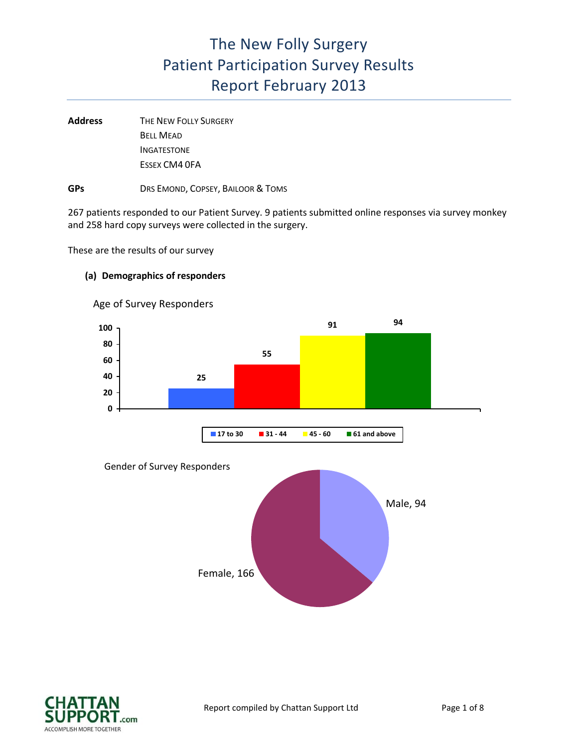Address **THE NEW FOLLY SURGERY** BELL MEAD INGATESTONE ESSEX CM4 0FA

**GPs** DRS EMOND, COPSEY, BAILOOR & TOMS

267 patients responded to our Patient Survey. 9 patients submitted online responses via survey monkey and 258 hard copy surveys were collected in the surgery.

These are the results of our survey

#### **(a) Demographics of responders**



Age of Survey Responders

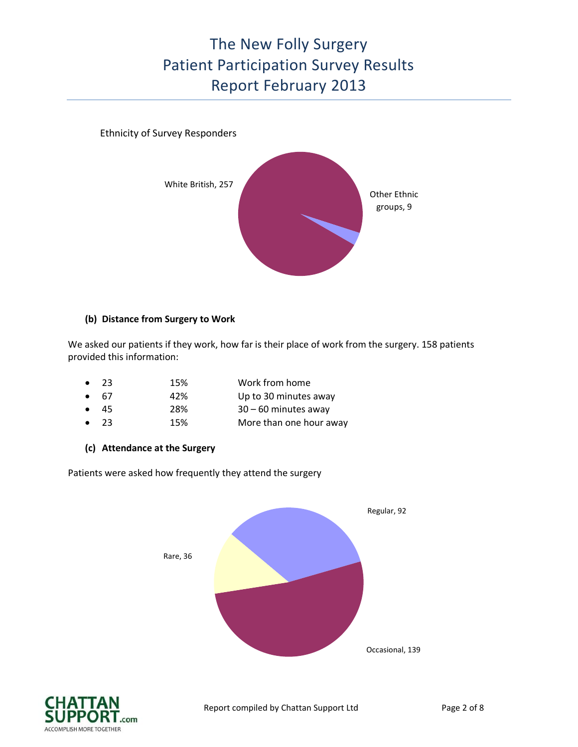### Ethnicity of Survey Responders



### **(b) Distance from Surgery to Work**

We asked our patients if they work, how far is their place of work from the surgery. 158 patients provided this information:

| $\bullet$ 23 | 15% | Work from home          |
|--------------|-----|-------------------------|
| 6.67         | 42% | Up to 30 minutes away   |
| $\bullet$ 45 | 28% | $30 - 60$ minutes away  |
| $\bullet$ 23 | 15% | More than one hour away |

**(c) Attendance at the Surgery**

Patients were asked how frequently they attend the surgery



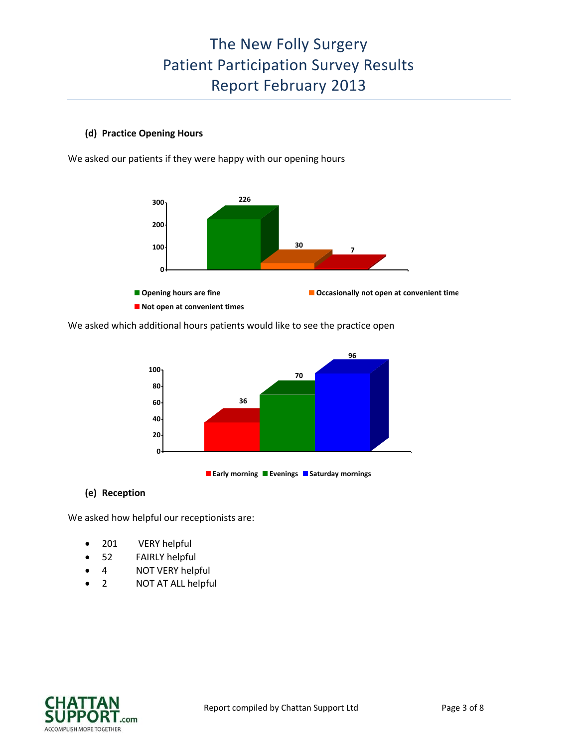### **(d) Practice Opening Hours**

We asked our patients if they were happy with our opening hours



We asked which additional hours patients would like to see the practice open





### **(e) Reception**

We asked how helpful our receptionists are:

- 201 VERY helpful
- 52 FAIRLY helpful
- 4 NOT VERY helpful
- 2 NOT AT ALL helpful

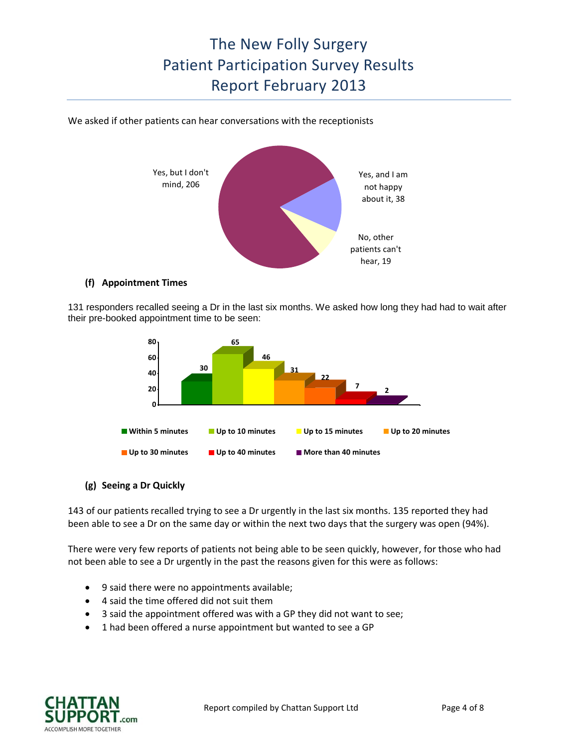We asked if other patients can hear conversations with the receptionists



#### **(f) Appointment Times**

131 responders recalled seeing a Dr in the last six months. We asked how long they had had to wait after their pre-booked appointment time to be seen:



### **(g) Seeing a Dr Quickly**

143 of our patients recalled trying to see a Dr urgently in the last six months. 135 reported they had been able to see a Dr on the same day or within the next two days that the surgery was open (94%).

There were very few reports of patients not being able to be seen quickly, however, for those who had not been able to see a Dr urgently in the past the reasons given for this were as follows:

- 9 said there were no appointments available;
- 4 said the time offered did not suit them
- 3 said the appointment offered was with a GP they did not want to see;
- 1 had been offered a nurse appointment but wanted to see a GP

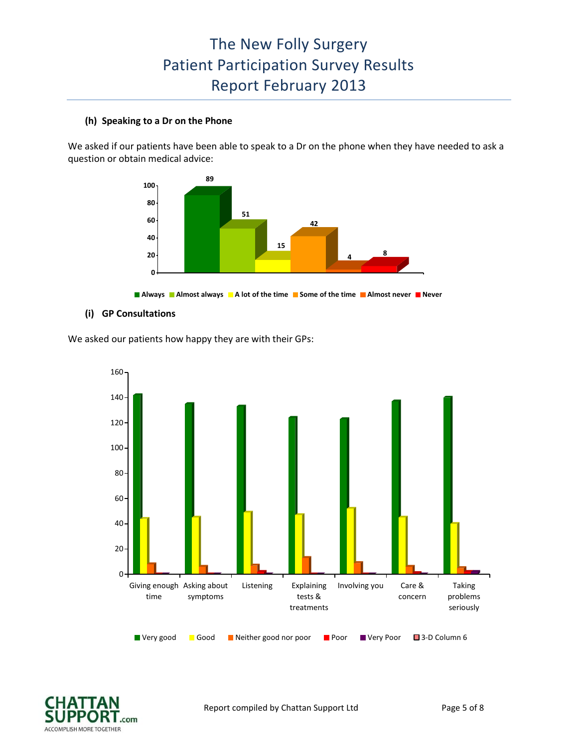#### **(h) Speaking to a Dr on the Phone**

We asked if our patients have been able to speak to a Dr on the phone when they have needed to ask a question or obtain medical advice:



**Always Almost always A lot of the time Some of the time Almost never Never**

#### **(i) GP Consultations**

We asked our patients how happy they are with their GPs:



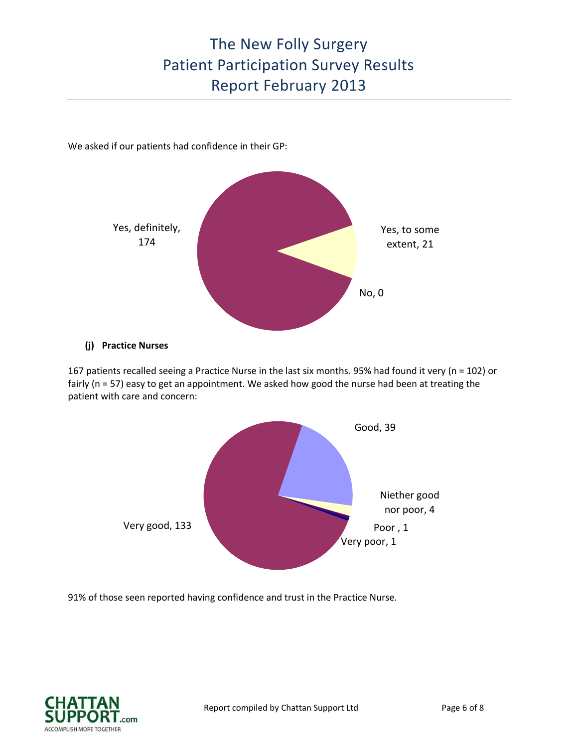We asked if our patients had confidence in their GP:



#### **(j) Practice Nurses**

167 patients recalled seeing a Practice Nurse in the last six months. 95% had found it very (n = 102) or fairly (n = 57) easy to get an appointment. We asked how good the nurse had been at treating the patient with care and concern:



91% of those seen reported having confidence and trust in the Practice Nurse.

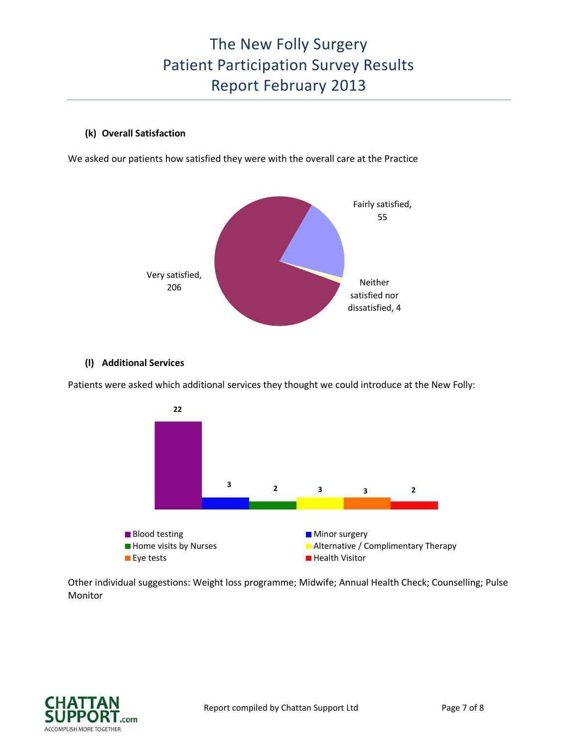### **(k) Overall Satisfaction**

We asked our patients how satisfied they were with the overall care at the Practice



#### **(l) Additional Services**

Patients were asked which additional services they thought we could introduce at the New Folly:



Other individual suggestions: Weight loss programme; Midwife; Annual Health Check; Counselling; Pulse Monitor